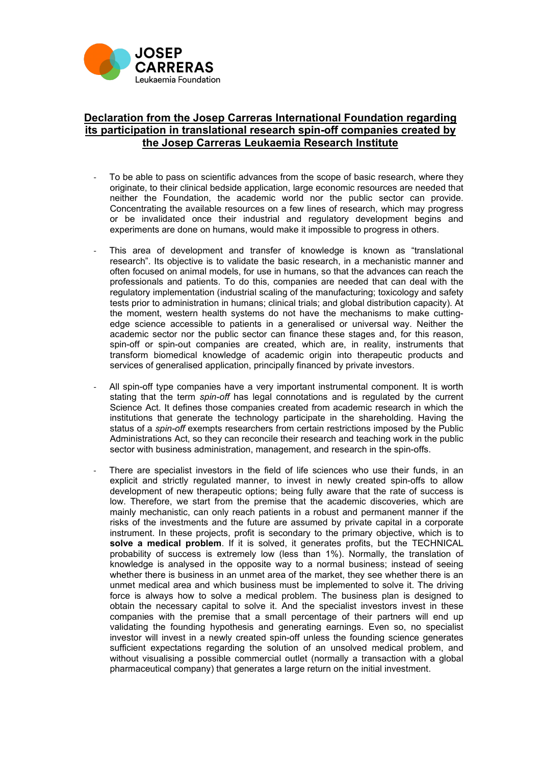

## **Declaration from the Josep Carreras International Foundation regarding its participation in translational research spin-off companies created by the Josep Carreras Leukaemia Research Institute**

- To be able to pass on scientific advances from the scope of basic research, where they originate, to their clinical bedside application, large economic resources are needed that neither the Foundation, the academic world nor the public sector can provide. Concentrating the available resources on a few lines of research, which may progress or be invalidated once their industrial and regulatory development begins and experiments are done on humans, would make it impossible to progress in others.
- This area of development and transfer of knowledge is known as "translational research". Its objective is to validate the basic research, in a mechanistic manner and often focused on animal models, for use in humans, so that the advances can reach the professionals and patients. To do this, companies are needed that can deal with the regulatory implementation (industrial scaling of the manufacturing; toxicology and safety tests prior to administration in humans; clinical trials; and global distribution capacity). At the moment, western health systems do not have the mechanisms to make cuttingedge science accessible to patients in a generalised or universal way. Neither the academic sector nor the public sector can finance these stages and, for this reason, spin-off or spin-out companies are created, which are, in reality, instruments that transform biomedical knowledge of academic origin into therapeutic products and services of generalised application, principally financed by private investors.
- All spin-off type companies have a very important instrumental component. It is worth stating that the term *spin-off* has legal connotations and is regulated by the current Science Act. It defines those companies created from academic research in which the institutions that generate the technology participate in the shareholding. Having the status of a *spin-off* exempts researchers from certain restrictions imposed by the Public Administrations Act, so they can reconcile their research and teaching work in the public sector with business administration, management, and research in the spin-offs.
- There are specialist investors in the field of life sciences who use their funds, in an explicit and strictly regulated manner, to invest in newly created spin-offs to allow development of new therapeutic options; being fully aware that the rate of success is low. Therefore, we start from the premise that the academic discoveries, which are mainly mechanistic, can only reach patients in a robust and permanent manner if the risks of the investments and the future are assumed by private capital in a corporate instrument. In these projects, profit is secondary to the primary objective, which is to **solve a medical problem**. If it is solved, it generates profits, but the TECHNICAL probability of success is extremely low (less than 1%). Normally, the translation of knowledge is analysed in the opposite way to a normal business; instead of seeing whether there is business in an unmet area of the market, they see whether there is an unmet medical area and which business must be implemented to solve it. The driving force is always how to solve a medical problem. The business plan is designed to obtain the necessary capital to solve it. And the specialist investors invest in these companies with the premise that a small percentage of their partners will end up validating the founding hypothesis and generating earnings. Even so, no specialist investor will invest in a newly created spin-off unless the founding science generates sufficient expectations regarding the solution of an unsolved medical problem, and without visualising a possible commercial outlet (normally a transaction with a global pharmaceutical company) that generates a large return on the initial investment.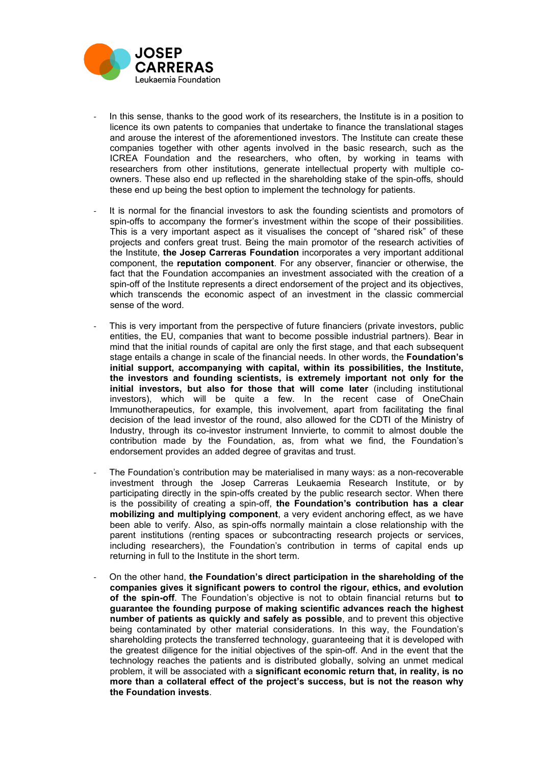

- In this sense, thanks to the good work of its researchers, the Institute is in a position to licence its own patents to companies that undertake to finance the translational stages and arouse the interest of the aforementioned investors. The Institute can create these companies together with other agents involved in the basic research, such as the ICREA Foundation and the researchers, who often, by working in teams with researchers from other institutions, generate intellectual property with multiple coowners. These also end up reflected in the shareholding stake of the spin-offs*,* should these end up being the best option to implement the technology for patients.
- It is normal for the financial investors to ask the founding scientists and promotors of spin-offs to accompany the former's investment within the scope of their possibilities. This is a very important aspect as it visualises the concept of "shared risk" of these projects and confers great trust. Being the main promotor of the research activities of the Institute, **the Josep Carreras Foundation** incorporates a very important additional component, the **reputation component**. For any observer, financier or otherwise, the fact that the Foundation accompanies an investment associated with the creation of a spin-off of the Institute represents a direct endorsement of the project and its objectives, which transcends the economic aspect of an investment in the classic commercial sense of the word.
- This is very important from the perspective of future financiers (private investors, public entities, the EU, companies that want to become possible industrial partners). Bear in mind that the initial rounds of capital are only the first stage, and that each subsequent stage entails a change in scale of the financial needs. In other words, the **Foundation's initial support, accompanying with capital, within its possibilities, the Institute, the investors and founding scientists, is extremely important not only for the initial investors, but also for those that will come later** (including institutional investors), which will be quite a few. In the recent case of OneChain Immunotherapeutics, for example, this involvement, apart from facilitating the final decision of the lead investor of the round, also allowed for the CDTI of the Ministry of Industry, through its co-investor instrument Innvierte, to commit to almost double the contribution made by the Foundation, as, from what we find, the Foundation's endorsement provides an added degree of gravitas and trust.
- The Foundation's contribution may be materialised in many ways: as a non-recoverable investment through the Josep Carreras Leukaemia Research Institute, or by participating directly in the spin-offs created by the public research sector. When there is the possibility of creating a spin-off, **the Foundation's contribution has a clear mobilizing and multiplying component**, a very evident anchoring effect, as we have been able to verify. Also, as spin-offs normally maintain a close relationship with the parent institutions (renting spaces or subcontracting research projects or services, including researchers), the Foundation's contribution in terms of capital ends up returning in full to the Institute in the short term.
- On the other hand, **the Foundation's direct participation in the shareholding of the companies gives it significant powers to control the rigour, ethics, and evolution of the spin-off**. The Foundation's objective is not to obtain financial returns but **to guarantee the founding purpose of making scientific advances reach the highest number of patients as quickly and safely as possible**, and to prevent this objective being contaminated by other material considerations. In this way, the Foundation's shareholding protects the transferred technology, guaranteeing that it is developed with the greatest diligence for the initial objectives of the spin-off. And in the event that the technology reaches the patients and is distributed globally, solving an unmet medical problem, it will be associated with a **significant economic return that, in reality, is no more than a collateral effect of the project's success, but is not the reason why the Foundation invests**.